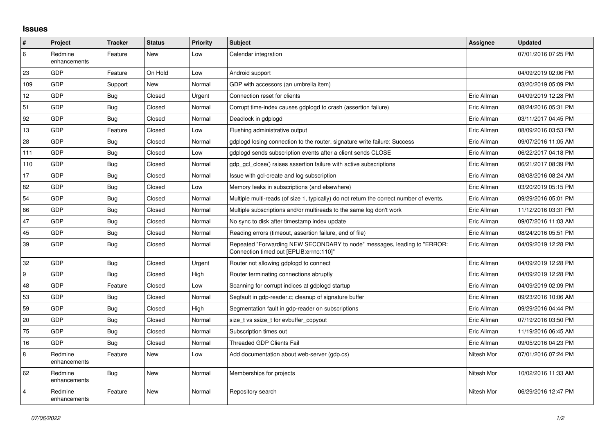## **Issues**

| #              | Project                 | <b>Tracker</b> | <b>Status</b> | <b>Priority</b> | <b>Subject</b>                                                                                                      | Assignee    | <b>Updated</b>      |
|----------------|-------------------------|----------------|---------------|-----------------|---------------------------------------------------------------------------------------------------------------------|-------------|---------------------|
| 6              | Redmine<br>enhancements | Feature        | New           | Low             | Calendar integration                                                                                                |             | 07/01/2016 07:25 PM |
| 23             | GDP                     | Feature        | On Hold       | Low             | Android support                                                                                                     |             | 04/09/2019 02:06 PM |
| 109            | GDP                     | Support        | <b>New</b>    | Normal          | GDP with accessors (an umbrella item)                                                                               |             | 03/20/2019 05:09 PM |
| 12             | GDP                     | Bug            | Closed        | Urgent          | Connection reset for clients                                                                                        | Eric Allman | 04/09/2019 12:28 PM |
| 51             | GDP                     | <b>Bug</b>     | Closed        | Normal          | Corrupt time-index causes gdplogd to crash (assertion failure)                                                      | Eric Allman | 08/24/2016 05:31 PM |
| 92             | <b>GDP</b>              | Bug            | Closed        | Normal          | Deadlock in gdplogd                                                                                                 | Eric Allman | 03/11/2017 04:45 PM |
| 13             | GDP                     | Feature        | Closed        | Low             | Flushing administrative output                                                                                      | Eric Allman | 08/09/2016 03:53 PM |
| 28             | GDP                     | Bug            | Closed        | Normal          | gdplogd losing connection to the router. signature write failure: Success                                           | Eric Allman | 09/07/2016 11:05 AM |
| 111            | GDP                     | <b>Bug</b>     | Closed        | Low             | gdplogd sends subscription events after a client sends CLOSE                                                        | Eric Allman | 06/22/2017 04:18 PM |
| 110            | GDP                     | <b>Bug</b>     | Closed        | Normal          | gdp gcl close() raises assertion failure with active subscriptions                                                  | Eric Allman | 06/21/2017 08:39 PM |
| 17             | GDP                     | <b>Bug</b>     | Closed        | Normal          | Issue with gcl-create and log subscription                                                                          | Eric Allman | 08/08/2016 08:24 AM |
| 82             | GDP                     | <b>Bug</b>     | Closed        | Low             | Memory leaks in subscriptions (and elsewhere)                                                                       | Eric Allman | 03/20/2019 05:15 PM |
| 54             | GDP                     | <b>Bug</b>     | Closed        | Normal          | Multiple multi-reads (of size 1, typically) do not return the correct number of events.                             | Eric Allman | 09/29/2016 05:01 PM |
| 86             | <b>GDP</b>              | <b>Bug</b>     | Closed        | Normal          | Multiple subscriptions and/or multireads to the same log don't work                                                 | Eric Allman | 11/12/2016 03:31 PM |
| 47             | <b>GDP</b>              | <b>Bug</b>     | Closed        | Normal          | No sync to disk after timestamp index update                                                                        | Eric Allman | 09/07/2016 11:03 AM |
| 45             | GDP                     | <b>Bug</b>     | Closed        | Normal          | Reading errors (timeout, assertion failure, end of file)                                                            | Eric Allman | 08/24/2016 05:51 PM |
| 39             | GDP                     | <b>Bug</b>     | Closed        | Normal          | Repeated "Forwarding NEW SECONDARY to node" messages, leading to "ERROR:<br>Connection timed out [EPLIB:errno:110]" | Eric Allman | 04/09/2019 12:28 PM |
| 32             | GDP                     | <b>Bug</b>     | Closed        | Urgent          | Router not allowing gdplogd to connect                                                                              | Eric Allman | 04/09/2019 12:28 PM |
| 9              | GDP                     | <b>Bug</b>     | Closed        | High            | Router terminating connections abruptly                                                                             | Eric Allman | 04/09/2019 12:28 PM |
| 48             | GDP                     | Feature        | Closed        | Low             | Scanning for corrupt indices at gdplogd startup                                                                     | Eric Allman | 04/09/2019 02:09 PM |
| 53             | GDP                     | Bug            | Closed        | Normal          | Segfault in gdp-reader.c; cleanup of signature buffer                                                               | Eric Allman | 09/23/2016 10:06 AM |
| 59             | GDP                     | <b>Bug</b>     | Closed        | High            | Segmentation fault in gdp-reader on subscriptions                                                                   | Eric Allman | 09/29/2016 04:44 PM |
| 20             | GDP                     | Bug            | Closed        | Normal          | size t vs ssize t for evbuffer copyout                                                                              | Eric Allman | 07/19/2016 03:50 PM |
| 75             | GDP                     | <b>Bug</b>     | Closed        | Normal          | Subscription times out                                                                                              | Eric Allman | 11/19/2016 06:45 AM |
| 16             | GDP                     | <b>Bug</b>     | Closed        | Normal          | <b>Threaded GDP Clients Fail</b>                                                                                    | Eric Allman | 09/05/2016 04:23 PM |
| $\,8\,$        | Redmine<br>enhancements | Feature        | New           | Low             | Add documentation about web-server (gdp.cs)                                                                         | Nitesh Mor  | 07/01/2016 07:24 PM |
| 62             | Redmine<br>enhancements | <b>Bug</b>     | New           | Normal          | Memberships for projects                                                                                            | Nitesh Mor  | 10/02/2016 11:33 AM |
| $\overline{4}$ | Redmine<br>enhancements | Feature        | New           | Normal          | Repository search                                                                                                   | Nitesh Mor  | 06/29/2016 12:47 PM |